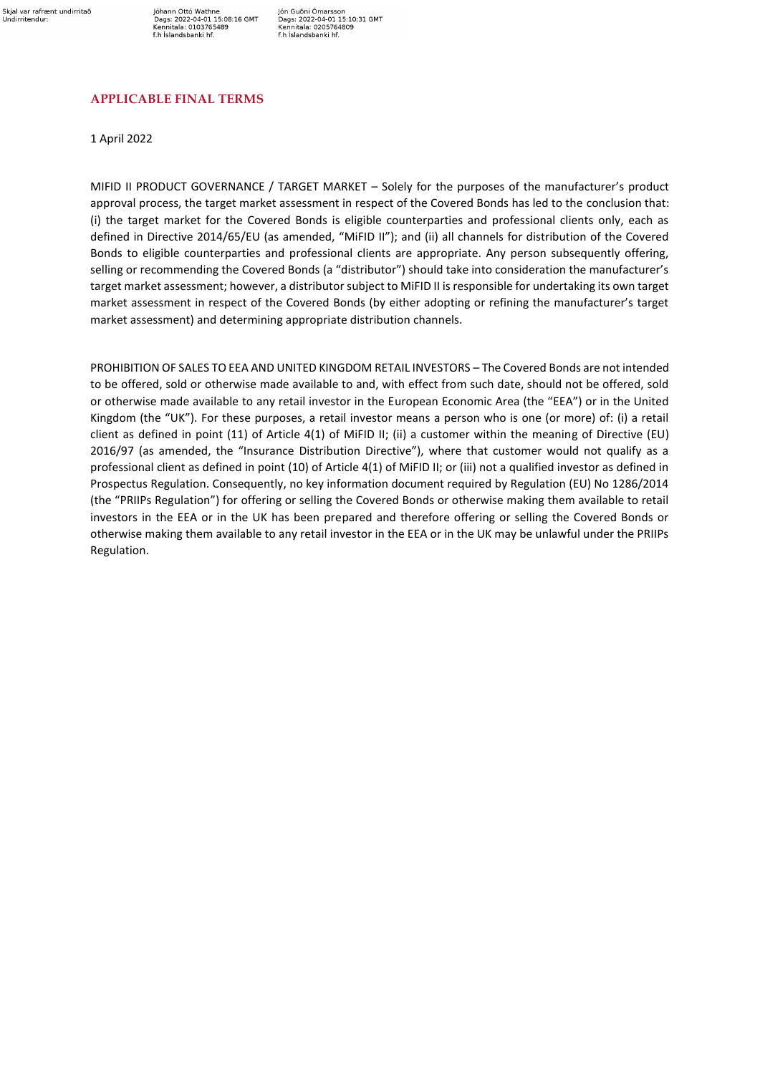Jóhann Ottó Wathne<br>Dags: 2022-04-01 15:08:16 GMT Kennitala: 0103765489 f.h Íslandsbanki hf.

Jón Guðni Ómarsson Jon Guoni Omarsson<br>Dags: 2022-04-01 15:10:31 GMT<br>Kennitala: 0205764809<br>f.h Íslandsbanki hf.

## **APPLICABLE FINAL TERMS**

1 April 2022

MIFID II PRODUCT GOVERNANCE / TARGET MARKET – Solely for the purposes of the manufacturer's product approval process, the target market assessment in respect of the Covered Bonds has led to the conclusion that: (i) the target market for the Covered Bonds is eligible counterparties and professional clients only, each as defined in Directive 2014/65/EU (as amended, "MiFID II"); and (ii) all channels for distribution of the Covered Bonds to eligible counterparties and professional clients are appropriate. Any person subsequently offering, selling or recommending the Covered Bonds (a "distributor") should take into consideration the manufacturer's target market assessment; however, a distributor subject to MiFID II is responsible for undertaking its own target market assessment in respect of the Covered Bonds (by either adopting or refining the manufacturer's target market assessment) and determining appropriate distribution channels.

PROHIBITION OF SALES TO EEA AND UNITED KINGDOM RETAIL INVESTORS – The Covered Bonds are not intended to be offered, sold or otherwise made available to and, with effect from such date, should not be offered, sold or otherwise made available to any retail investor in the European Economic Area (the "EEA") or in the United Kingdom (the "UK"). For these purposes, a retail investor means a person who is one (or more) of: (i) a retail client as defined in point (11) of Article 4(1) of MiFID II; (ii) a customer within the meaning of Directive (EU) 2016/97 (as amended, the "Insurance Distribution Directive"), where that customer would not qualify as a professional client as defined in point (10) of Article 4(1) of MiFID II; or (iii) not a qualified investor as defined in Prospectus Regulation. Consequently, no key information document required by Regulation (EU) No 1286/2014 (the "PRIIPs Regulation") for offering or selling the Covered Bonds or otherwise making them available to retail investors in the EEA or in the UK has been prepared and therefore offering or selling the Covered Bonds or otherwise making them available to any retail investor in the EEA or in the UK may be unlawful under the PRIIPs Regulation.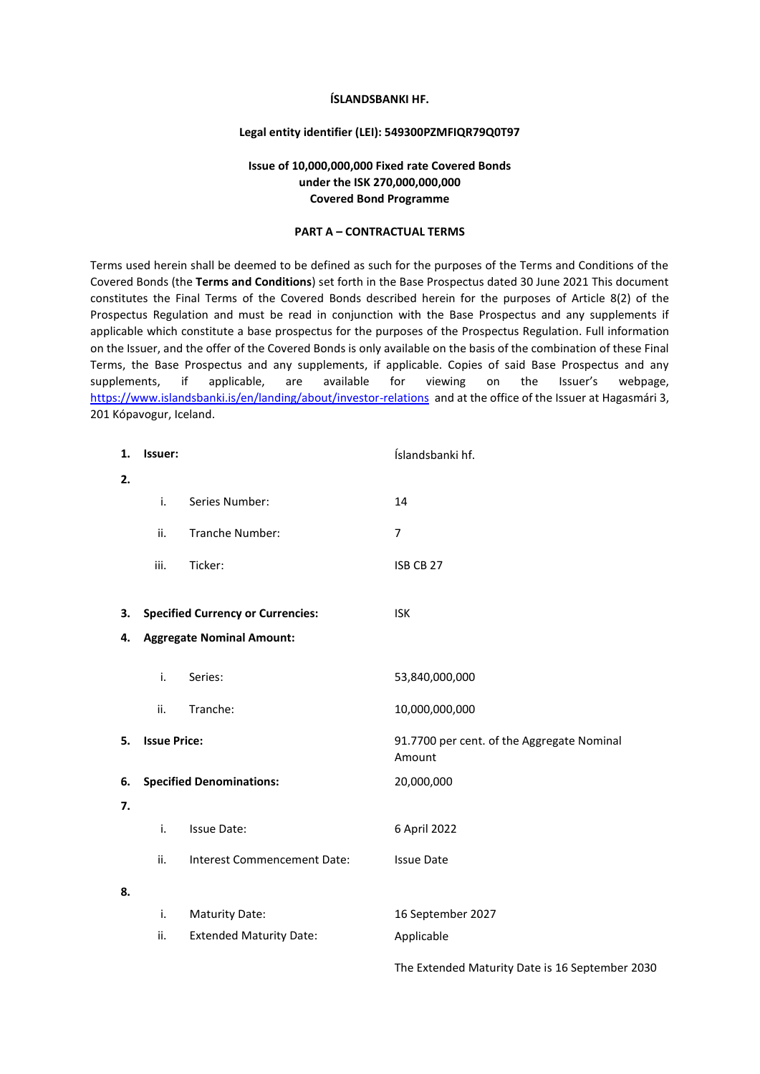#### **ÍSLANDSBANKI HF.**

#### **Legal entity identifier (LEI): 549300PZMFIQR79Q0T97**

## **Issue of 10,000,000,000 Fixed rate Covered Bonds under the ISK 270,000,000,000 Covered Bond Programme**

#### **PART A – CONTRACTUAL TERMS**

Terms used herein shall be deemed to be defined as such for the purposes of the Terms and Conditions of the Covered Bonds (the **Terms and Conditions**) set forth in the Base Prospectus dated 30 June 2021 This document constitutes the Final Terms of the Covered Bonds described herein for the purposes of Article 8(2) of the Prospectus Regulation and must be read in conjunction with the Base Prospectus and any supplements if applicable which constitute a base prospectus for the purposes of the Prospectus Regulation. Full information on the Issuer, and the offer of the Covered Bonds is only available on the basis of the combination of these Final Terms, the Base Prospectus and any supplements, if applicable. Copies of said Base Prospectus and any supplements, if applicable, are available for viewing on the Issuer's webpage, <https://www.islandsbanki.is/en/landing/about/investor-relations>and at the office of the Issuer at Hagasmári 3, 201 Kópavogur, Iceland.

| 1. | Issuer:                         |                                          | Íslandsbanki hf.                                     |
|----|---------------------------------|------------------------------------------|------------------------------------------------------|
| 2. |                                 |                                          |                                                      |
|    | i.                              | Series Number:                           | 14                                                   |
|    | ii.                             | Tranche Number:                          | $\overline{7}$                                       |
|    | iii.                            | Ticker:                                  | ISB CB 27                                            |
|    |                                 |                                          |                                                      |
| 3. |                                 | <b>Specified Currency or Currencies:</b> | <b>ISK</b>                                           |
| 4. |                                 | <b>Aggregate Nominal Amount:</b>         |                                                      |
|    | i.                              | Series:                                  | 53,840,000,000                                       |
|    |                                 |                                          |                                                      |
|    | ii.                             | Tranche:                                 | 10,000,000,000                                       |
| 5. | <b>Issue Price:</b>             |                                          | 91.7700 per cent. of the Aggregate Nominal<br>Amount |
| 6. | <b>Specified Denominations:</b> |                                          | 20,000,000                                           |
| 7. |                                 |                                          |                                                      |
|    | i.                              | <b>Issue Date:</b>                       | 6 April 2022                                         |
|    | ii.                             | Interest Commencement Date:              | <b>Issue Date</b>                                    |
| 8. |                                 |                                          |                                                      |
|    | i.                              | <b>Maturity Date:</b>                    | 16 September 2027                                    |
|    | ii.                             | <b>Extended Maturity Date:</b>           | Applicable                                           |
|    |                                 |                                          | The Extended Maturity Date is 16 September 2030      |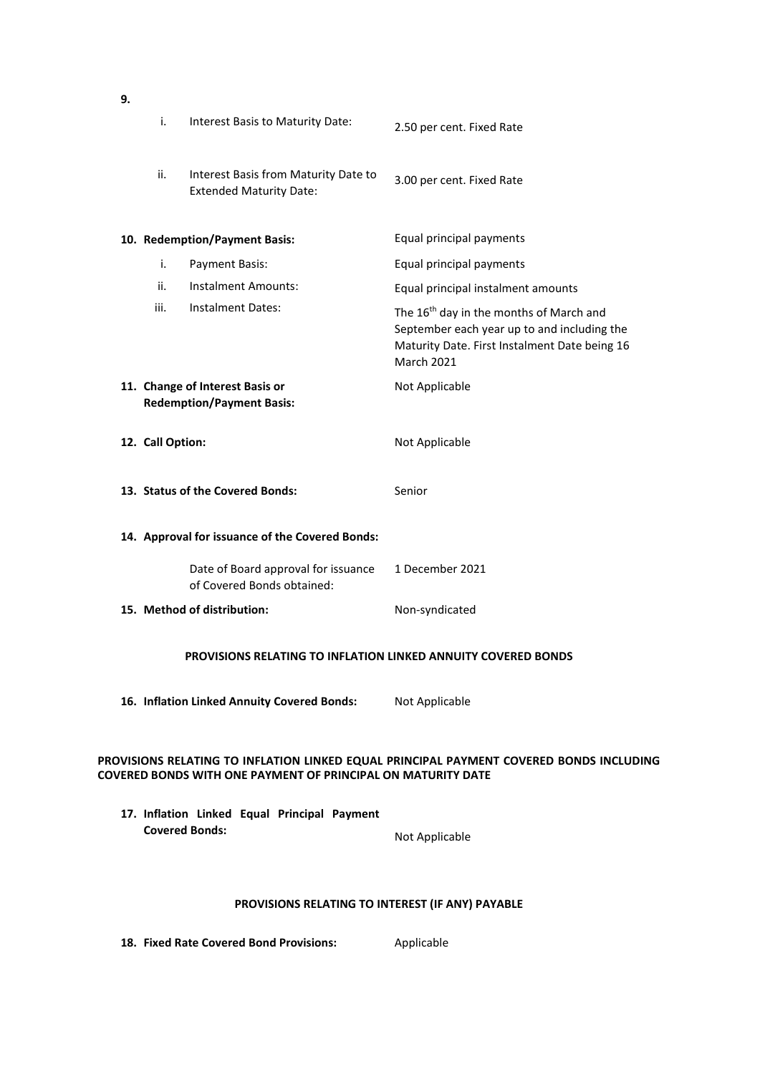|                                                                                                                                                         | i.                                                                   | Interest Basis to Maturity Date:                                       | 2.50 per cent. Fixed Rate                                                                                                                                                |  |  |
|---------------------------------------------------------------------------------------------------------------------------------------------------------|----------------------------------------------------------------------|------------------------------------------------------------------------|--------------------------------------------------------------------------------------------------------------------------------------------------------------------------|--|--|
|                                                                                                                                                         | ii.                                                                  | Interest Basis from Maturity Date to<br><b>Extended Maturity Date:</b> | 3.00 per cent. Fixed Rate                                                                                                                                                |  |  |
|                                                                                                                                                         |                                                                      | 10. Redemption/Payment Basis:                                          | Equal principal payments                                                                                                                                                 |  |  |
|                                                                                                                                                         | i.                                                                   | Payment Basis:                                                         | Equal principal payments                                                                                                                                                 |  |  |
|                                                                                                                                                         | ii.                                                                  | <b>Instalment Amounts:</b>                                             | Equal principal instalment amounts                                                                                                                                       |  |  |
|                                                                                                                                                         | iii.                                                                 | Instalment Dates:                                                      | The 16 <sup>th</sup> day in the months of March and<br>September each year up to and including the<br>Maturity Date. First Instalment Date being 16<br><b>March 2021</b> |  |  |
|                                                                                                                                                         |                                                                      | 11. Change of Interest Basis or<br><b>Redemption/Payment Basis:</b>    | Not Applicable                                                                                                                                                           |  |  |
|                                                                                                                                                         | 12. Call Option:                                                     |                                                                        | Not Applicable                                                                                                                                                           |  |  |
|                                                                                                                                                         |                                                                      | 13. Status of the Covered Bonds:                                       | Senior                                                                                                                                                                   |  |  |
|                                                                                                                                                         |                                                                      | 14. Approval for issuance of the Covered Bonds:                        |                                                                                                                                                                          |  |  |
|                                                                                                                                                         |                                                                      | Date of Board approval for issuance<br>of Covered Bonds obtained:      | 1 December 2021                                                                                                                                                          |  |  |
|                                                                                                                                                         |                                                                      | 15. Method of distribution:                                            | Non-syndicated                                                                                                                                                           |  |  |
|                                                                                                                                                         | <b>PROVISIONS RELATING TO INFLATION LINKED ANNUITY COVERED BONDS</b> |                                                                        |                                                                                                                                                                          |  |  |
|                                                                                                                                                         |                                                                      | 16. Inflation Linked Annuity Covered Bonds:                            | Not Applicable                                                                                                                                                           |  |  |
| PROVISIONS RELATING TO INFLATION LINKED EQUAL PRINCIPAL PAYMENT COVERED BONDS INCLUDING<br>COVERED BONDS WITH ONE PAYMENT OF PRINCIPAL ON MATURITY DATE |                                                                      |                                                                        |                                                                                                                                                                          |  |  |
|                                                                                                                                                         |                                                                      | 17. Inflation Linked Equal Principal Payment                           |                                                                                                                                                                          |  |  |

**Covered Bonds:** Not Applicable

# **PROVISIONS RELATING TO INTEREST (IF ANY) PAYABLE**

18. **Fixed Rate Covered Bond Provisions:** Applicable

**9.**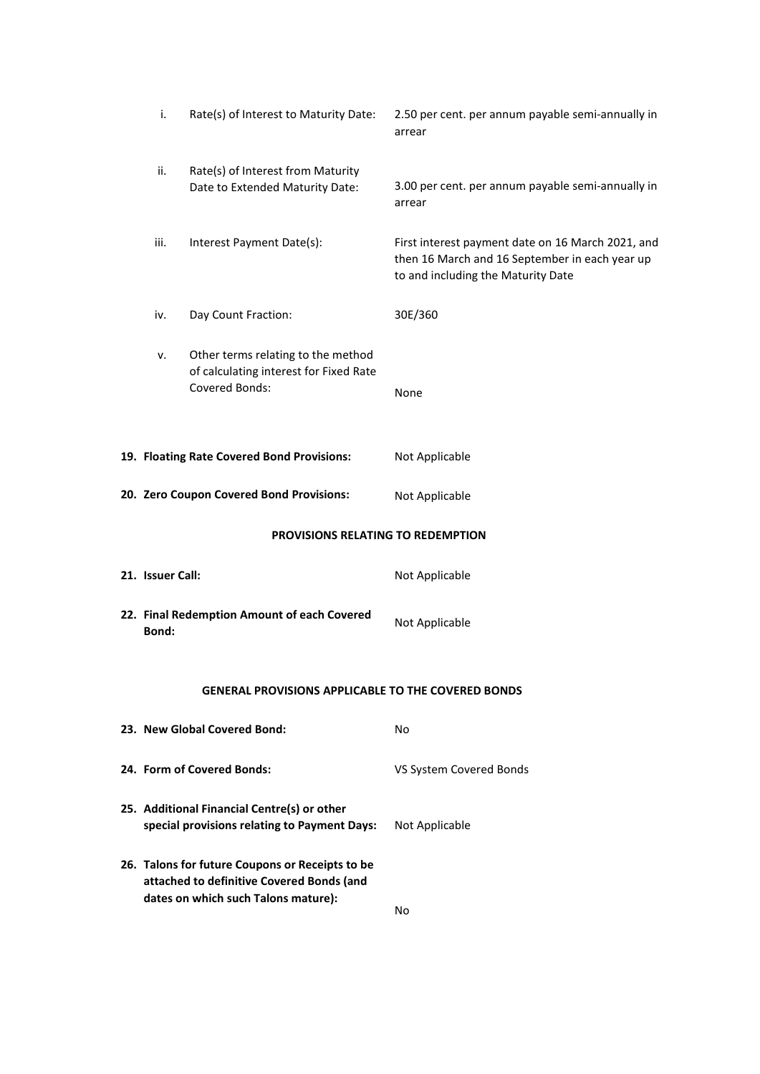|                                                           | i.                                                                                                                                  | Rate(s) of Interest to Maturity Date:                                                          | 2.50 per cent. per annum payable semi-annually in<br>arrear                                                                               |  |
|-----------------------------------------------------------|-------------------------------------------------------------------------------------------------------------------------------------|------------------------------------------------------------------------------------------------|-------------------------------------------------------------------------------------------------------------------------------------------|--|
|                                                           | ii.                                                                                                                                 | Rate(s) of Interest from Maturity<br>Date to Extended Maturity Date:                           | 3.00 per cent. per annum payable semi-annually in<br>arrear                                                                               |  |
|                                                           | iii.<br>Interest Payment Date(s):                                                                                                   |                                                                                                | First interest payment date on 16 March 2021, and<br>then 16 March and 16 September in each year up<br>to and including the Maturity Date |  |
|                                                           | iv.                                                                                                                                 | Day Count Fraction:                                                                            | 30E/360                                                                                                                                   |  |
|                                                           | ν.                                                                                                                                  | Other terms relating to the method<br>of calculating interest for Fixed Rate<br>Covered Bonds: | None                                                                                                                                      |  |
|                                                           | 19. Floating Rate Covered Bond Provisions:                                                                                          |                                                                                                | Not Applicable                                                                                                                            |  |
|                                                           | 20. Zero Coupon Covered Bond Provisions:                                                                                            |                                                                                                | Not Applicable                                                                                                                            |  |
|                                                           |                                                                                                                                     | PROVISIONS RELATING TO REDEMPTION                                                              |                                                                                                                                           |  |
|                                                           | 21. Issuer Call:                                                                                                                    |                                                                                                | Not Applicable                                                                                                                            |  |
|                                                           | 22. Final Redemption Amount of each Covered<br>Bond:                                                                                |                                                                                                | Not Applicable                                                                                                                            |  |
| <b>GENERAL PROVISIONS APPLICABLE TO THE COVERED BONDS</b> |                                                                                                                                     |                                                                                                |                                                                                                                                           |  |
|                                                           |                                                                                                                                     | 23. New Global Covered Bond:                                                                   | No                                                                                                                                        |  |
|                                                           | 24. Form of Covered Bonds:                                                                                                          |                                                                                                | VS System Covered Bonds                                                                                                                   |  |
|                                                           | 25. Additional Financial Centre(s) or other<br>special provisions relating to Payment Days:                                         |                                                                                                | Not Applicable                                                                                                                            |  |
|                                                           | 26. Talons for future Coupons or Receipts to be<br>attached to definitive Covered Bonds (and<br>dates on which such Talons mature): |                                                                                                | No                                                                                                                                        |  |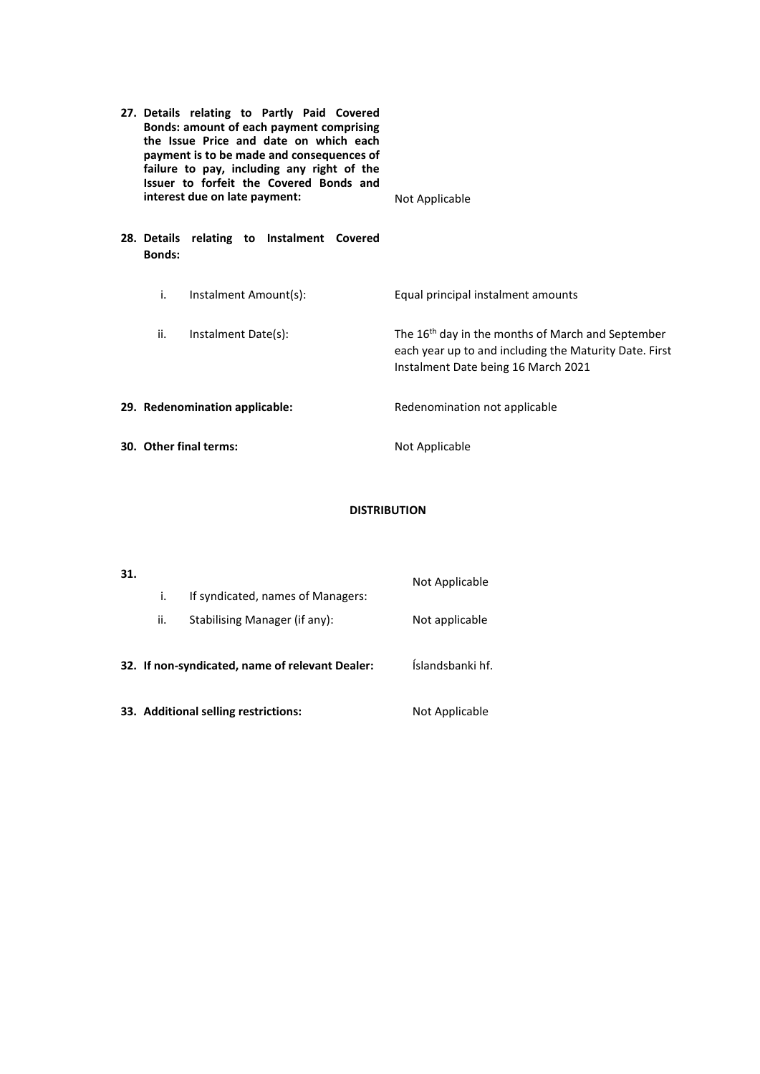| 27. Details relating to Partly Paid Covered<br>Bonds: amount of each payment comprising<br>the Issue Price and date on which each<br>payment is to be made and consequences of<br>failure to pay, including any right of the<br>Issuer to forfeit the Covered Bonds and<br>interest due on late payment: |                                            | Not Applicable                                                                                                                                                 |  |
|----------------------------------------------------------------------------------------------------------------------------------------------------------------------------------------------------------------------------------------------------------------------------------------------------------|--------------------------------------------|----------------------------------------------------------------------------------------------------------------------------------------------------------------|--|
| <b>Bonds:</b>                                                                                                                                                                                                                                                                                            | 28. Details relating to Instalment Covered |                                                                                                                                                                |  |
| i.                                                                                                                                                                                                                                                                                                       | Instalment Amount(s):                      | Equal principal instalment amounts                                                                                                                             |  |
| ii.                                                                                                                                                                                                                                                                                                      | Instalment Date(s):                        | The 16 <sup>th</sup> day in the months of March and September<br>each year up to and including the Maturity Date. First<br>Instalment Date being 16 March 2021 |  |
|                                                                                                                                                                                                                                                                                                          | 29. Redenomination applicable:             | Redenomination not applicable                                                                                                                                  |  |
| 30. Other final terms:                                                                                                                                                                                                                                                                                   |                                            | Not Applicable                                                                                                                                                 |  |

# **DISTRIBUTION**

| 31. |     |                                                 | Not Applicable   |
|-----|-----|-------------------------------------------------|------------------|
|     | İ.  | If syndicated, names of Managers:               |                  |
|     | ii. | Stabilising Manager (if any):                   | Not applicable   |
|     |     | 32. If non-syndicated, name of relevant Dealer: | Íslandsbanki hf. |
|     |     | 33. Additional selling restrictions:            | Not Applicable   |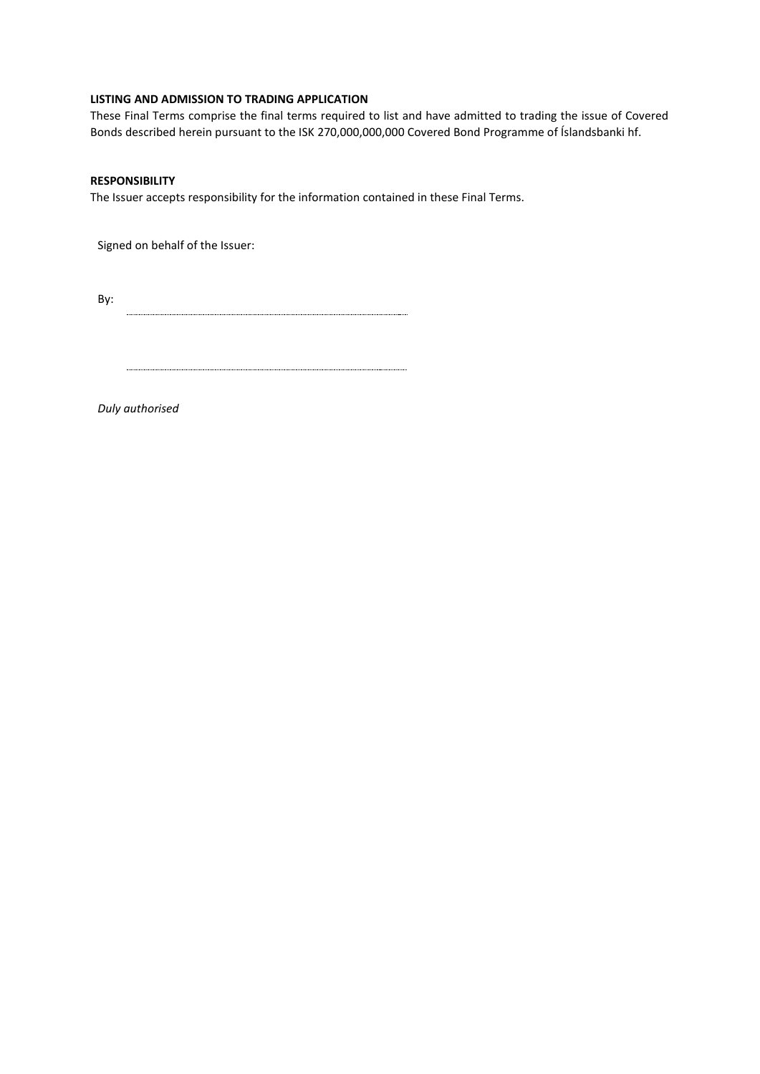## **LISTING AND ADMISSION TO TRADING APPLICATION**

These Final Terms comprise the final terms required to list and have admitted to trading the issue of Covered Bonds described herein pursuant to the ISK 270,000,000,000 Covered Bond Programme of Íslandsbanki hf.

### **RESPONSIBILITY**

The Issuer accepts responsibility for the information contained in these Final Terms.

Signed on behalf of the Issuer:

By: 

*Duly authorised*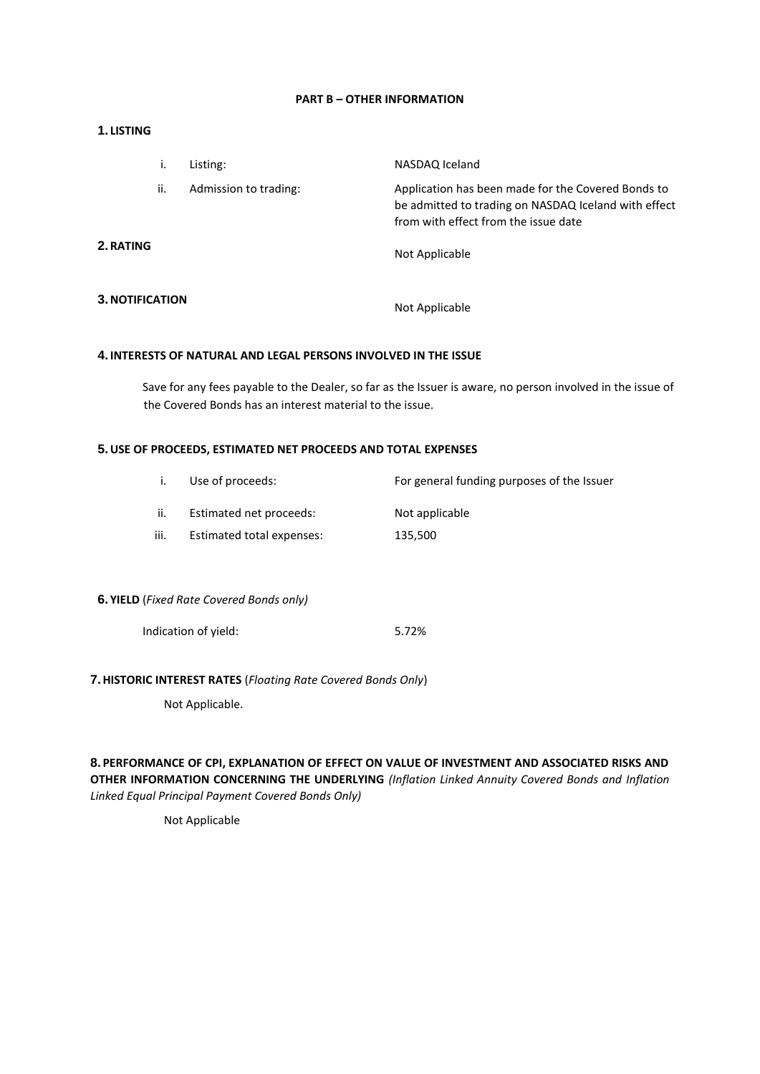## **PART B – OTHER INFORMATION**

#### **1. LISTING**

|                 | i.  | Listing:              | NASDAQ Iceland                                                                                                                                     |
|-----------------|-----|-----------------------|----------------------------------------------------------------------------------------------------------------------------------------------------|
|                 | ii. | Admission to trading: | Application has been made for the Covered Bonds to<br>be admitted to trading on NASDAQ Iceland with effect<br>from with effect from the issue date |
| 2. RATING       |     |                       | Not Applicable                                                                                                                                     |
| 3. NOTIFICATION |     |                       | Not Applicable                                                                                                                                     |

#### **4. INTERESTS OF NATURAL AND LEGAL PERSONS INVOLVED IN THE ISSUE**

Save for any fees payable to the Dealer, so far as the Issuer is aware, no person involved in the issue of the Covered Bonds has an interest material to the issue.

## **5.USE OF PROCEEDS, ESTIMATED NET PROCEEDS AND TOTAL EXPENSES**

|      | Use of proceeds:          | For general funding purposes of the Issuer |
|------|---------------------------|--------------------------------------------|
| ii.  | Estimated net proceeds:   | Not applicable                             |
| iii. | Estimated total expenses: | 135.500                                    |

## **6. YIELD** (*Fixed Rate Covered Bonds only)*

| Indication of yield: | 5.72% |
|----------------------|-------|
|----------------------|-------|

#### **7.HISTORIC INTEREST RATES** (*Floating Rate Covered Bonds Only*)

Not Applicable.

# **8. PERFORMANCE OF CPI, EXPLANATION OF EFFECT ON VALUE OF INVESTMENT AND ASSOCIATED RISKS AND OTHER INFORMATION CONCERNING THE UNDERLYING** *(Inflation Linked Annuity Covered Bonds and Inflation Linked Equal Principal Payment Covered Bonds Only)*

Not Applicable